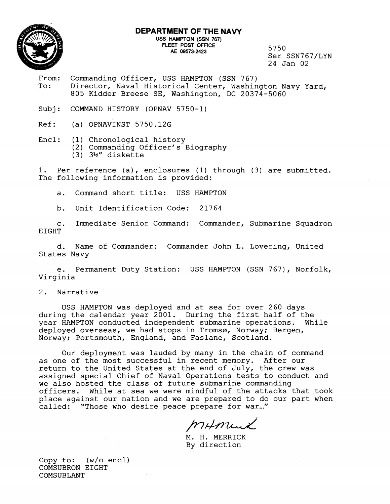

## **DEPARTMENT OF THE NAVY USS HAMPTON (SSN 767)**  AE 09573-2423

5750 Ser SSN767/LYN 24 Jan 02

- From: Commanding Officer, USS HAMPTON (SSN 767) To: Director, Naval Historical Center, Washington Navy Yard, 805 Kidder Breese SE, Washington, DC 20374-5060
- Subj: COMMAND HISTORY (OPNAV 5750-1)

Ref: (a) OPNAVINST 5750.12G

Encl: (1) Chronological history (2) Commanding Officer's Biography  $(3)$   $3\frac{1}{2}$ " diskette

1. Per reference (a), enclosures (1) through (3) are submitted. The following information is provided:

a. Command short title: USS HAMPTON

b. Unit Identification Code: 21764

c. Immediate Senior Command: Commander, Submarine Squadron EIGHT

d. Name of Commander: Commander John L. Lovering, United States Navy

.e. Permanent Duty Station: USS HAMPTON (SSN 767), Norfolk, Virginia

2. Narrative

USS HAMPTON was deployed and at sea for over 260 days during the calendar year 2001. During the first half of the year HAMPTON conducted independent submarine operations. While deployed overseas, we had stops in Tromsø, Norway; Bergen, Norway; Portsmouth, England, and Faslane, Scotland.

Our deployment was lauded by many in the chain of command as one of the most successful in recent memory. After our return to the United States at the end of July, the crew was assigned special Chief of Naval Operations tests to conduct and we also hosted the class of future submarine commanding officers. While at sea we were mindful of the attacks that took place against our nation and we are prepared to do our part when called: "Those who desire peace prepare for war..."

MAMUX

M. H. MERRICK By direction

Copy to: (w/o encl) COMSUBRON EIGHT COMSUBLANT